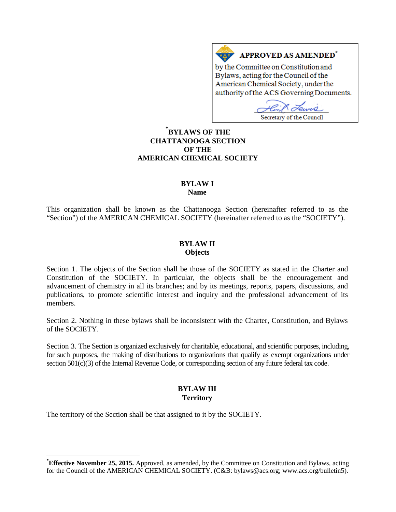# **AZS** APPROVED AS AMENDED<sup>\*</sup>

by the Committee on Constitution and Bylaws, acting for the Council of the American Chemical Society, under the authority of the ACS Governing Documents.

لصدر Secretary of the Council

# **[\\*](#page-0-0) BYLAWS OF THE CHATTANOOGA SECTION OF THE AMERICAN CHEMICAL SOCIETY**

# **BYLAW I**

**Name**

This organization shall be known as the Chattanooga Section (hereinafter referred to as the "Section") of the AMERICAN CHEMICAL SOCIETY (hereinafter referred to as the "SOCIETY").

## **BYLAW II Objects**

Section 1. The objects of the Section shall be those of the SOCIETY as stated in the Charter and Constitution of the SOCIETY. In particular, the objects shall be the encouragement and advancement of chemistry in all its branches; and by its meetings, reports, papers, discussions, and publications, to promote scientific interest and inquiry and the professional advancement of its members.

Section 2. Nothing in these bylaws shall be inconsistent with the Charter, Constitution, and Bylaws of the SOCIETY.

Section 3. The Section is organized exclusively for charitable, educational, and scientific purposes, including, for such purposes, the making of distributions to organizations that qualify as exempt organizations under section 501(c)(3) of the Internal Revenue Code, or corresponding section of any future federal tax code.

# **BYLAW III Territory**

The territory of the Section shall be that assigned to it by the SOCIETY.

<span id="page-0-0"></span>**\* Effective November 25, 2015.** Approved, as amended, by the Committee on Constitution and Bylaws, acting for the Council of the AMERICAN CHEMICAL SOCIETY. (C&B: bylaws@acs.org; www.acs.org/bulletin5).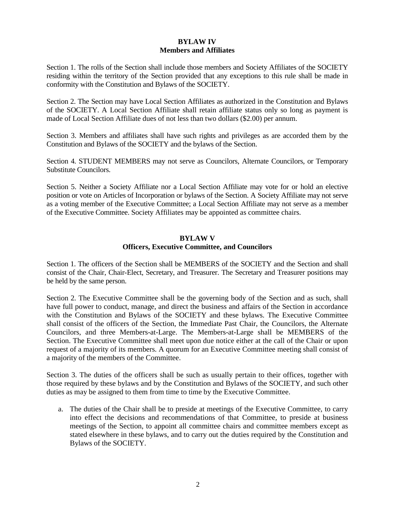# **BYLAW IV Members and Affiliates**

Section 1. The rolls of the Section shall include those members and Society Affiliates of the SOCIETY residing within the territory of the Section provided that any exceptions to this rule shall be made in conformity with the Constitution and Bylaws of the SOCIETY.

Section 2. The Section may have Local Section Affiliates as authorized in the Constitution and Bylaws of the SOCIETY. A Local Section Affiliate shall retain affiliate status only so long as payment is made of Local Section Affiliate dues of not less than two dollars (\$2.00) per annum.

Section 3. Members and affiliates shall have such rights and privileges as are accorded them by the Constitution and Bylaws of the SOCIETY and the bylaws of the Section.

Section 4. STUDENT MEMBERS may not serve as Councilors, Alternate Councilors, or Temporary Substitute Councilors.

Section 5. Neither a Society Affiliate nor a Local Section Affiliate may vote for or hold an elective position or vote on Articles of Incorporation or bylaws of the Section. A Society Affiliate may not serve as a voting member of the Executive Committee; a Local Section Affiliate may not serve as a member of the Executive Committee. Society Affiliates may be appointed as committee chairs.

#### **BYLAW V Officers, Executive Committee, and Councilors**

Section 1. The officers of the Section shall be MEMBERS of the SOCIETY and the Section and shall consist of the Chair, Chair-Elect, Secretary, and Treasurer. The Secretary and Treasurer positions may be held by the same person.

Section 2. The Executive Committee shall be the governing body of the Section and as such, shall have full power to conduct, manage, and direct the business and affairs of the Section in accordance with the Constitution and Bylaws of the SOCIETY and these bylaws. The Executive Committee shall consist of the officers of the Section, the Immediate Past Chair, the Councilors, the Alternate Councilors, and three Members-at-Large. The Members-at-Large shall be MEMBERS of the Section. The Executive Committee shall meet upon due notice either at the call of the Chair or upon request of a majority of its members. A quorum for an Executive Committee meeting shall consist of a majority of the members of the Committee.

Section 3. The duties of the officers shall be such as usually pertain to their offices, together with those required by these bylaws and by the Constitution and Bylaws of the SOCIETY, and such other duties as may be assigned to them from time to time by the Executive Committee.

a. The duties of the Chair shall be to preside at meetings of the Executive Committee, to carry into effect the decisions and recommendations of that Committee, to preside at business meetings of the Section, to appoint all committee chairs and committee members except as stated elsewhere in these bylaws, and to carry out the duties required by the Constitution and Bylaws of the SOCIETY.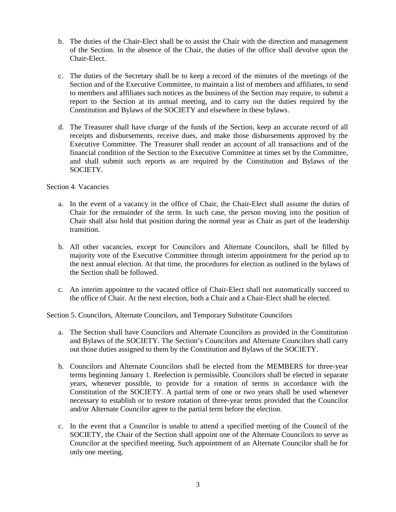- b. The duties of the Chair-Elect shall be to assist the Chair with the direction and management of the Section. In the absence of the Chair, the duties of the office shall devolve upon the Chair-Elect.
- c. The duties of the Secretary shall be to keep a record of the minutes of the meetings of the Section and of the Executive Committee, to maintain a list of members and affiliates, to send to members and affiliates such notices as the business of the Section may require, to submit a report to the Section at its annual meeting, and to carry out the duties required by the Constitution and Bylaws of the SOCIETY and elsewhere in these bylaws.
- d. The Treasurer shall have charge of the funds of the Section, keep an accurate record of all receipts and disbursements, receive dues, and make those disbursements approved by the Executive Committee. The Treasurer shall render an account of all transactions and of the financial condition of the Section to the Executive Committee at times set by the Committee, and shall submit such reports as are required by the Constitution and Bylaws of the SOCIETY.

#### Section 4. Vacancies

- a. In the event of a vacancy in the office of Chair, the Chair-Elect shall assume the duties of Chair for the remainder of the term. In such case, the person moving into the position of Chair shall also hold that position during the normal year as Chair as part of the leadership transition.
- b. All other vacancies, except for Councilors and Alternate Councilors, shall be filled by majority vote of the Executive Committee through interim appointment for the period up to the next annual election. At that time, the procedures for election as outlined in the bylaws of the Section shall be followed.
- c. An interim appointee to the vacated office of Chair-Elect shall not automatically succeed to the office of Chair. At the next election, both a Chair and a Chair-Elect shall be elected.

Section 5. Councilors, Alternate Councilors, and Temporary Substitute Councilors

- a. The Section shall have Councilors and Alternate Councilors as provided in the Constitution and Bylaws of the SOCIETY. The Section's Councilors and Alternate Councilors shall carry out those duties assigned to them by the Constitution and Bylaws of the SOCIETY.
- b. Councilors and Alternate Councilors shall be elected from the MEMBERS for three-year terms beginning January 1. Reelection is permissible. Councilors shall be elected in separate years, whenever possible, to provide for a rotation of terms in accordance with the Constitution of the SOCIETY. A partial term of one or two years shall be used whenever necessary to establish or to restore rotation of three-year terms provided that the Councilor and/or Alternate Councilor agree to the partial term before the election.
- c. In the event that a Councilor is unable to attend a specified meeting of the Council of the SOCIETY, the Chair of the Section shall appoint one of the Alternate Councilors to serve as Councilor at the specified meeting. Such appointment of an Alternate Councilor shall be for only one meeting.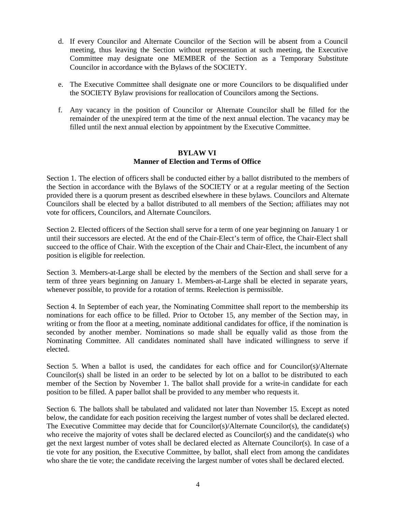- d. If every Councilor and Alternate Councilor of the Section will be absent from a Council meeting, thus leaving the Section without representation at such meeting, the Executive Committee may designate one MEMBER of the Section as a Temporary Substitute Councilor in accordance with the Bylaws of the SOCIETY.
- e. The Executive Committee shall designate one or more Councilors to be disqualified under the SOCIETY Bylaw provisions for reallocation of Councilors among the Sections.
- f. Any vacancy in the position of Councilor or Alternate Councilor shall be filled for the remainder of the unexpired term at the time of the next annual election. The vacancy may be filled until the next annual election by appointment by the Executive Committee.

#### **BYLAW VI Manner of Election and Terms of Office**

Section 1. The election of officers shall be conducted either by a ballot distributed to the members of the Section in accordance with the Bylaws of the SOCIETY or at a regular meeting of the Section provided there is a quorum present as described elsewhere in these bylaws. Councilors and Alternate Councilors shall be elected by a ballot distributed to all members of the Section; affiliates may not vote for officers, Councilors, and Alternate Councilors.

Section 2. Elected officers of the Section shall serve for a term of one year beginning on January 1 or until their successors are elected. At the end of the Chair-Elect's term of office, the Chair-Elect shall succeed to the office of Chair. With the exception of the Chair and Chair-Elect, the incumbent of any position is eligible for reelection.

Section 3. Members-at-Large shall be elected by the members of the Section and shall serve for a term of three years beginning on January 1. Members-at-Large shall be elected in separate years, whenever possible, to provide for a rotation of terms. Reelection is permissible.

Section 4. In September of each year, the Nominating Committee shall report to the membership its nominations for each office to be filled. Prior to October 15, any member of the Section may, in writing or from the floor at a meeting, nominate additional candidates for office, if the nomination is seconded by another member. Nominations so made shall be equally valid as those from the Nominating Committee. All candidates nominated shall have indicated willingness to serve if elected.

Section 5. When a ballot is used, the candidates for each office and for Councilor(s)/Alternate Councilor(s) shall be listed in an order to be selected by lot on a ballot to be distributed to each member of the Section by November 1. The ballot shall provide for a write-in candidate for each position to be filled. A paper ballot shall be provided to any member who requests it.

Section 6. The ballots shall be tabulated and validated not later than November 15. Except as noted below, the candidate for each position receiving the largest number of votes shall be declared elected. The Executive Committee may decide that for Councilor(s)/Alternate Councilor(s), the candidate(s) who receive the majority of votes shall be declared elected as Councilor(s) and the candidate(s) who get the next largest number of votes shall be declared elected as Alternate Councilor(s). In case of a tie vote for any position, the Executive Committee, by ballot, shall elect from among the candidates who share the tie vote; the candidate receiving the largest number of votes shall be declared elected.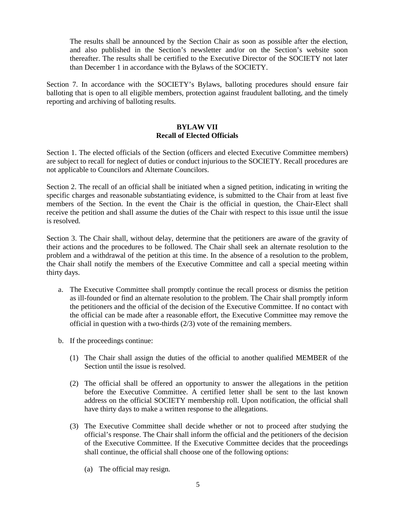The results shall be announced by the Section Chair as soon as possible after the election, and also published in the Section's newsletter and/or on the Section's website soon thereafter. The results shall be certified to the Executive Director of the SOCIETY not later than December 1 in accordance with the Bylaws of the SOCIETY.

Section 7. In accordance with the SOCIETY's Bylaws, balloting procedures should ensure fair balloting that is open to all eligible members, protection against fraudulent balloting, and the timely reporting and archiving of balloting results.

# **BYLAW VII Recall of Elected Officials**

Section 1. The elected officials of the Section (officers and elected Executive Committee members) are subject to recall for neglect of duties or conduct injurious to the SOCIETY. Recall procedures are not applicable to Councilors and Alternate Councilors.

Section 2. The recall of an official shall be initiated when a signed petition, indicating in writing the specific charges and reasonable substantiating evidence, is submitted to the Chair from at least five members of the Section. In the event the Chair is the official in question, the Chair-Elect shall receive the petition and shall assume the duties of the Chair with respect to this issue until the issue is resolved.

Section 3. The Chair shall, without delay, determine that the petitioners are aware of the gravity of their actions and the procedures to be followed. The Chair shall seek an alternate resolution to the problem and a withdrawal of the petition at this time. In the absence of a resolution to the problem, the Chair shall notify the members of the Executive Committee and call a special meeting within thirty days.

- a. The Executive Committee shall promptly continue the recall process or dismiss the petition as ill-founded or find an alternate resolution to the problem. The Chair shall promptly inform the petitioners and the official of the decision of the Executive Committee. If no contact with the official can be made after a reasonable effort, the Executive Committee may remove the official in question with a two-thirds (2/3) vote of the remaining members.
- b. If the proceedings continue:
	- (1) The Chair shall assign the duties of the official to another qualified MEMBER of the Section until the issue is resolved.
	- (2) The official shall be offered an opportunity to answer the allegations in the petition before the Executive Committee. A certified letter shall be sent to the last known address on the official SOCIETY membership roll. Upon notification, the official shall have thirty days to make a written response to the allegations.
	- (3) The Executive Committee shall decide whether or not to proceed after studying the official's response. The Chair shall inform the official and the petitioners of the decision of the Executive Committee. If the Executive Committee decides that the proceedings shall continue, the official shall choose one of the following options:
		- (a) The official may resign.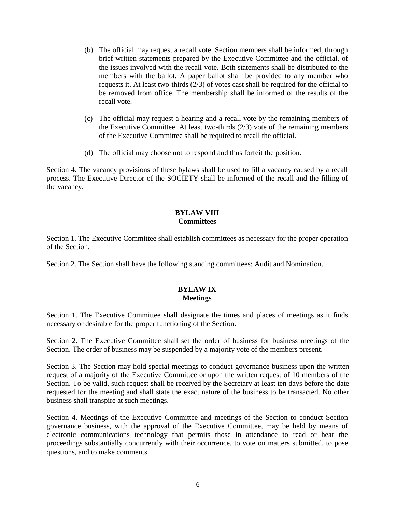- (b) The official may request a recall vote. Section members shall be informed, through brief written statements prepared by the Executive Committee and the official, of the issues involved with the recall vote. Both statements shall be distributed to the members with the ballot. A paper ballot shall be provided to any member who requests it. At least two-thirds (2/3) of votes cast shall be required for the official to be removed from office. The membership shall be informed of the results of the recall vote.
- (c) The official may request a hearing and a recall vote by the remaining members of the Executive Committee. At least two-thirds (2/3) vote of the remaining members of the Executive Committee shall be required to recall the official.
- (d) The official may choose not to respond and thus forfeit the position.

Section 4. The vacancy provisions of these bylaws shall be used to fill a vacancy caused by a recall process. The Executive Director of the SOCIETY shall be informed of the recall and the filling of the vacancy.

## **BYLAW VIII Committees**

Section 1. The Executive Committee shall establish committees as necessary for the proper operation of the Section.

Section 2. The Section shall have the following standing committees: Audit and Nomination.

# **BYLAW IX Meetings**

Section 1. The Executive Committee shall designate the times and places of meetings as it finds necessary or desirable for the proper functioning of the Section.

Section 2. The Executive Committee shall set the order of business for business meetings of the Section. The order of business may be suspended by a majority vote of the members present.

Section 3. The Section may hold special meetings to conduct governance business upon the written request of a majority of the Executive Committee or upon the written request of 10 members of the Section. To be valid, such request shall be received by the Secretary at least ten days before the date requested for the meeting and shall state the exact nature of the business to be transacted. No other business shall transpire at such meetings.

Section 4. Meetings of the Executive Committee and meetings of the Section to conduct Section governance business, with the approval of the Executive Committee, may be held by means of electronic communications technology that permits those in attendance to read or hear the proceedings substantially concurrently with their occurrence, to vote on matters submitted, to pose questions, and to make comments.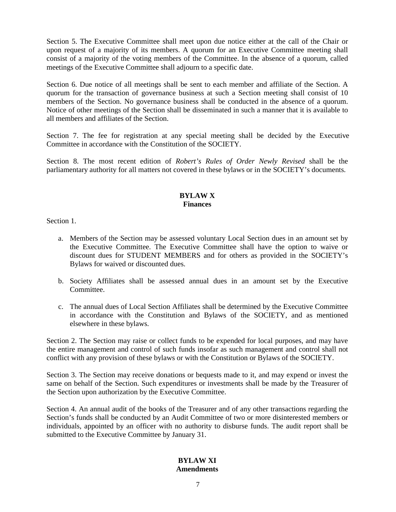Section 5. The Executive Committee shall meet upon due notice either at the call of the Chair or upon request of a majority of its members. A quorum for an Executive Committee meeting shall consist of a majority of the voting members of the Committee. In the absence of a quorum, called meetings of the Executive Committee shall adjourn to a specific date.

Section 6. Due notice of all meetings shall be sent to each member and affiliate of the Section. A quorum for the transaction of governance business at such a Section meeting shall consist of 10 members of the Section. No governance business shall be conducted in the absence of a quorum. Notice of other meetings of the Section shall be disseminated in such a manner that it is available to all members and affiliates of the Section.

Section 7. The fee for registration at any special meeting shall be decided by the Executive Committee in accordance with the Constitution of the SOCIETY.

Section 8. The most recent edition of *Robert's Rules of Order Newly Revised* shall be the parliamentary authority for all matters not covered in these bylaws or in the SOCIETY's documents.

## **BYLAW X Finances**

Section 1.

- a. Members of the Section may be assessed voluntary Local Section dues in an amount set by the Executive Committee. The Executive Committee shall have the option to waive or discount dues for STUDENT MEMBERS and for others as provided in the SOCIETY's Bylaws for waived or discounted dues.
- b. Society Affiliates shall be assessed annual dues in an amount set by the Executive Committee.
- c. The annual dues of Local Section Affiliates shall be determined by the Executive Committee in accordance with the Constitution and Bylaws of the SOCIETY, and as mentioned elsewhere in these bylaws.

Section 2. The Section may raise or collect funds to be expended for local purposes, and may have the entire management and control of such funds insofar as such management and control shall not conflict with any provision of these bylaws or with the Constitution or Bylaws of the SOCIETY.

Section 3. The Section may receive donations or bequests made to it, and may expend or invest the same on behalf of the Section. Such expenditures or investments shall be made by the Treasurer of the Section upon authorization by the Executive Committee.

Section 4. An annual audit of the books of the Treasurer and of any other transactions regarding the Section's funds shall be conducted by an Audit Committee of two or more disinterested members or individuals, appointed by an officer with no authority to disburse funds. The audit report shall be submitted to the Executive Committee by January 31.

#### **BYLAW XI Amendments**